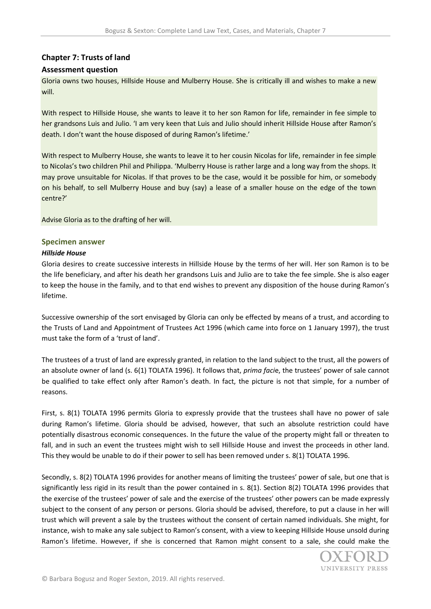# **Chapter 7: Trusts of land**

### **Assessment question**

Gloria owns two houses, Hillside House and Mulberry House. She is critically ill and wishes to make a new will.

With respect to Hillside House, she wants to leave it to her son Ramon for life, remainder in fee simple to her grandsons Luis and Julio. 'I am very keen that Luis and Julio should inherit Hillside House after Ramon's death. I don't want the house disposed of during Ramon's lifetime.'

With respect to Mulberry House, she wants to leave it to her cousin Nicolas for life, remainder in fee simple to Nicolas's two children Phil and Philippa. 'Mulberry House is rather large and a long way from the shops. It may prove unsuitable for Nicolas. If that proves to be the case, would it be possible for him, or somebody on his behalf, to sell Mulberry House and buy (say) a lease of a smaller house on the edge of the town centre?'

Advise Gloria as to the drafting of her will.

#### **Specimen answer**

#### *Hillside House*

Gloria desires to create successive interests in Hillside House by the terms of her will. Her son Ramon is to be the life beneficiary, and after his death her grandsons Luis and Julio are to take the fee simple. She is also eager to keep the house in the family, and to that end wishes to prevent any disposition of the house during Ramon's lifetime.

Successive ownership of the sort envisaged by Gloria can only be effected by means of a trust, and according to the Trusts of Land and Appointment of Trustees Act 1996 (which came into force on 1 January 1997), the trust must take the form of a 'trust of land'.

The trustees of a trust of land are expressly granted, in relation to the land subject to the trust, all the powers of an absolute owner of land (s. 6(1) TOLATA 1996). It follows that, *prima faci*e, the trustees' power of sale cannot be qualified to take effect only after Ramon's death. In fact, the picture is not that simple, for a number of reasons.

First, s. 8(1) TOLATA 1996 permits Gloria to expressly provide that the trustees shall have no power of sale during Ramon's lifetime. Gloria should be advised, however, that such an absolute restriction could have potentially disastrous economic consequences. In the future the value of the property might fall or threaten to fall, and in such an event the trustees might wish to sell Hillside House and invest the proceeds in other land. This they would be unable to do if their power to sell has been removed under s. 8(1) TOLATA 1996.

Secondly, s. 8(2) TOLATA 1996 provides for another means of limiting the trustees' power of sale, but one that is significantly less rigid in its result than the power contained in s. 8(1). Section 8(2) TOLATA 1996 provides that the exercise of the trustees' power of sale and the exercise of the trustees' other powers can be made expressly subject to the consent of any person or persons. Gloria should be advised, therefore, to put a clause in her will trust which will prevent a sale by the trustees without the consent of certain named individuals. She might, for instance, wish to make any sale subject to Ramon's consent, with a view to keeping Hillside House unsold during Ramon's lifetime. However, if she is concerned that Ramon might consent to a sale, she could make the

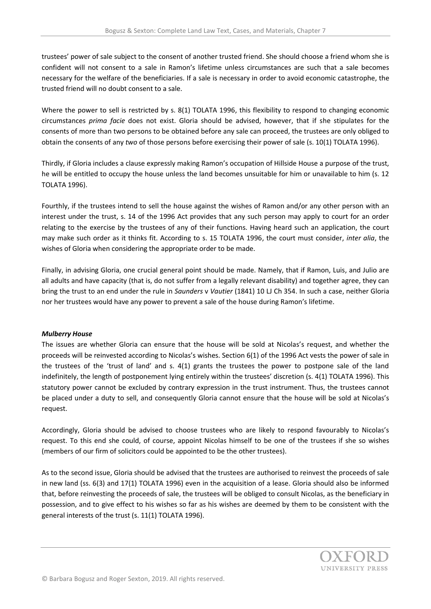trustees' power of sale subject to the consent of another trusted friend. She should choose a friend whom she is confident will not consent to a sale in Ramon's lifetime unless circumstances are such that a sale becomes necessary for the welfare of the beneficiaries. If a sale is necessary in order to avoid economic catastrophe, the trusted friend will no doubt consent to a sale.

Where the power to sell is restricted by s. 8(1) TOLATA 1996, this flexibility to respond to changing economic circumstances *prima facie* does not exist. Gloria should be advised, however, that if she stipulates for the consents of more than two persons to be obtained before any sale can proceed, the trustees are only obliged to obtain the consents of any *two* of those persons before exercising their power of sale (s. 10(1) TOLATA 1996).

Thirdly, if Gloria includes a clause expressly making Ramon's occupation of Hillside House a purpose of the trust, he will be entitled to occupy the house unless the land becomes unsuitable for him or unavailable to him (s. 12 TOLATA 1996).

Fourthly, if the trustees intend to sell the house against the wishes of Ramon and/or any other person with an interest under the trust, s. 14 of the 1996 Act provides that any such person may apply to court for an order relating to the exercise by the trustees of any of their functions. Having heard such an application, the court may make such order as it thinks fit. According to s. 15 TOLATA 1996, the court must consider, *inter alia*, the wishes of Gloria when considering the appropriate order to be made.

Finally, in advising Gloria, one crucial general point should be made. Namely, that if Ramon, Luis, and Julio are all adults and have capacity (that is, do not suffer from a legally relevant disability) and together agree, they can bring the trust to an end under the rule in *Saunders* v *Vautier* (1841) 10 LJ Ch 354. In such a case, neither Gloria nor her trustees would have any power to prevent a sale of the house during Ramon's lifetime.

## *Mulberry House*

The issues are whether Gloria can ensure that the house will be sold at Nicolas's request, and whether the proceeds will be reinvested according to Nicolas's wishes. Section 6(1) of the 1996 Act vests the power of sale in the trustees of the 'trust of land' and s. 4(1) grants the trustees the power to postpone sale of the land indefinitely, the length of postponement lying entirely within the trustees' discretion (s. 4(1) TOLATA 1996). This statutory power cannot be excluded by contrary expression in the trust instrument. Thus, the trustees cannot be placed under a duty to sell, and consequently Gloria cannot ensure that the house will be sold at Nicolas's request.

Accordingly, Gloria should be advised to choose trustees who are likely to respond favourably to Nicolas's request. To this end she could, of course, appoint Nicolas himself to be one of the trustees if she so wishes (members of our firm of solicitors could be appointed to be the other trustees).

As to the second issue, Gloria should be advised that the trustees are authorised to reinvest the proceeds of sale in new land (ss. 6(3) and 17(1) TOLATA 1996) even in the acquisition of a lease. Gloria should also be informed that, before reinvesting the proceeds of sale, the trustees will be obliged to consult Nicolas, as the beneficiary in possession, and to give effect to his wishes so far as his wishes are deemed by them to be consistent with the general interests of the trust (s. 11(1) TOLATA 1996).